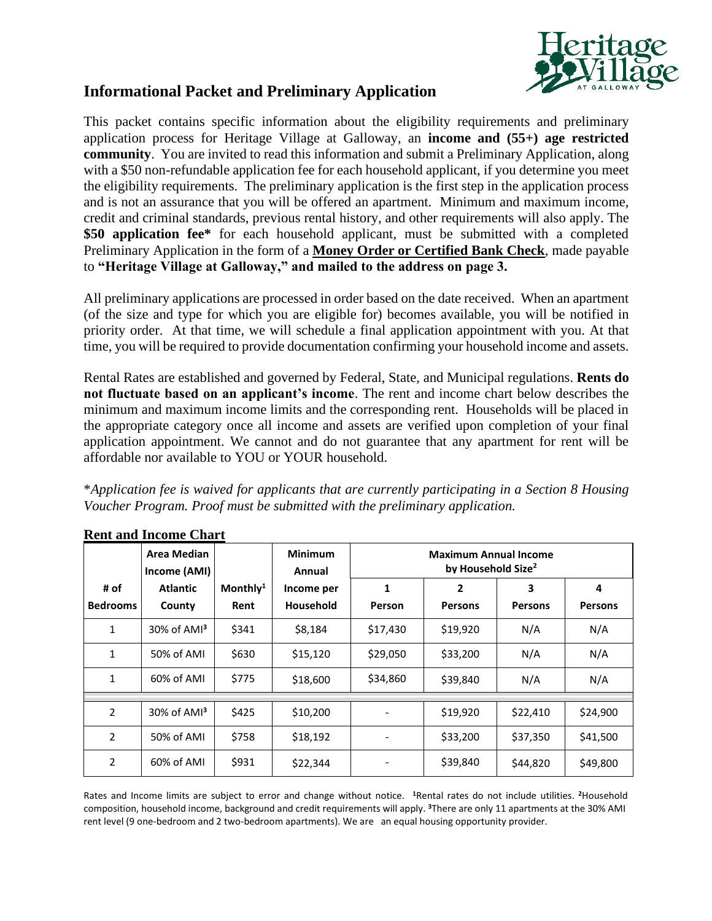

# **Informational Packet and Preliminary Application**

This packet contains specific information about the eligibility requirements and preliminary application process for Heritage Village at Galloway, an **income and (55+) age restricted community**. You are invited to read this information and submit a Preliminary Application, along with a \$50 non-refundable application fee for each household applicant, if you determine you meet the eligibility requirements. The preliminary application is the first step in the application process and is not an assurance that you will be offered an apartment. Minimum and maximum income, credit and criminal standards, previous rental history, and other requirements will also apply. The **\$50 application fee\*** for each household applicant, must be submitted with a completed Preliminary Application in the form of a **Money Order or Certified Bank Check**, made payable to **"Heritage Village at Galloway," and mailed to the address on page 3.** 

All preliminary applications are processed in order based on the date received. When an apartment (of the size and type for which you are eligible for) becomes available, you will be notified in priority order. At that time, we will schedule a final application appointment with you. At that time, you will be required to provide documentation confirming your household income and assets.

Rental Rates are established and governed by Federal, State, and Municipal regulations. **Rents do not fluctuate based on an applicant's income**. The rent and income chart below describes the minimum and maximum income limits and the corresponding rent. Households will be placed in the appropriate category once all income and assets are verified upon completion of your final application appointment. We cannot and do not guarantee that any apartment for rent will be affordable nor available to YOU or YOUR household.

\**Application fee is waived for applicants that are currently participating in a Section 8 Housing Voucher Program. Proof must be submitted with the preliminary application.*

|                         | Area Median<br>Income (AMI) |                     | <b>Minimum</b><br>Annual       | <b>Maximum Annual Income</b><br>by Household Size <sup>2</sup> |                     |                     |                     |
|-------------------------|-----------------------------|---------------------|--------------------------------|----------------------------------------------------------------|---------------------|---------------------|---------------------|
| # of<br><b>Bedrooms</b> | <b>Atlantic</b><br>County   | Monthly $1$<br>Rent | Income per<br><b>Household</b> | 1<br>Person                                                    | 2<br><b>Persons</b> | 3<br><b>Persons</b> | 4<br><b>Persons</b> |
| 1                       | $30\%$ of AMI <sup>3</sup>  | \$341               | \$8,184                        | \$17,430                                                       | \$19,920            | N/A                 | N/A                 |
| 1                       | 50% of AMI                  | \$630               | \$15,120                       | \$29,050                                                       | \$33,200            | N/A                 | N/A                 |
| 1                       | 60% of AMI                  | \$775               | \$18,600                       | \$34,860                                                       | \$39,840            | N/A                 | N/A                 |
|                         |                             |                     |                                |                                                                |                     |                     |                     |
| $\overline{2}$          | 30% of AMI <sup>3</sup>     | \$425               | \$10,200                       |                                                                | \$19,920            | \$22,410            | \$24,900            |
| 2                       | 50% of AMI                  | \$758               | \$18,192                       |                                                                | \$33,200            | \$37,350            | \$41,500            |
| $\overline{2}$          | 60% of AMI                  | \$931               | \$22,344                       |                                                                | \$39,840            | \$44,820            | \$49,800            |

## **Rent and Income Chart**

Rates and Income limits are subject to error and change without notice. **<sup>1</sup>**Rental rates do not include utilities. **<sup>2</sup>**Household composition, household income, background and credit requirements will apply. **<sup>3</sup>**There are only 11 apartments at the 30% AMI rent level (9 one-bedroom and 2 two-bedroom apartments). We are an equal housing opportunity provider.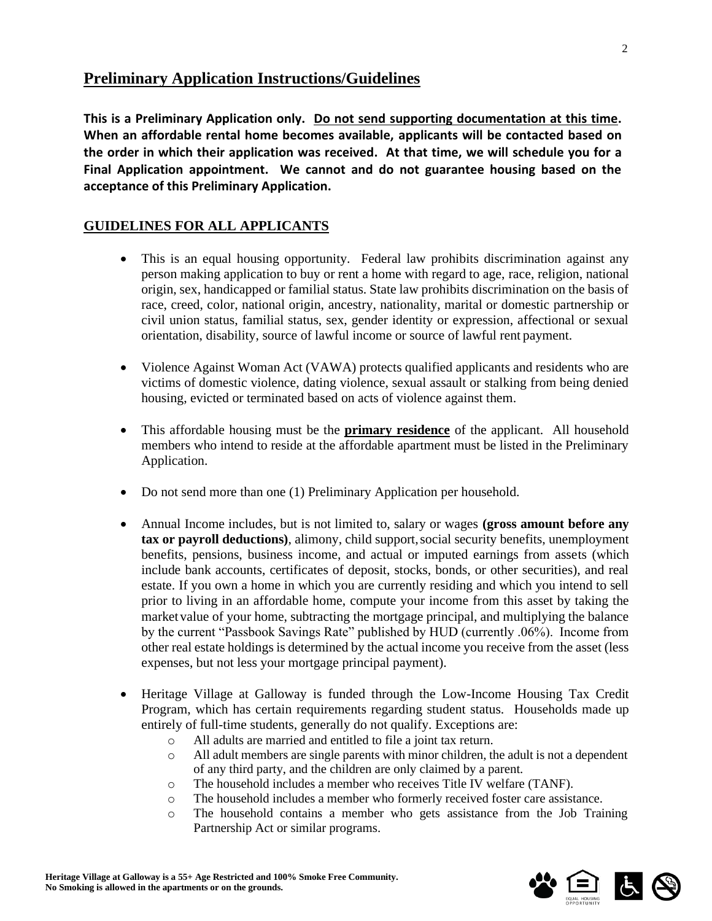## **Preliminary Application Instructions/Guidelines**

**This is a Preliminary Application only. Do not send supporting documentation at this time. When an affordable rental home becomes available, applicants will be contacted based on the order in which their application was received. At that time, we will schedule you for a Final Application appointment. We cannot and do not guarantee housing based on the acceptance of this Preliminary Application.** 

## **GUIDELINES FOR ALL APPLICANTS**

- This is an equal housing opportunity. Federal law prohibits discrimination against any person making application to buy or rent a home with regard to age, race, religion, national origin, sex, handicapped or familial status. State law prohibits discrimination on the basis of race, creed, color, national origin, ancestry, nationality, marital or domestic partnership or civil union status, familial status, sex, gender identity or expression, affectional or sexual orientation, disability, source of lawful income or source of lawful rent payment.
- Violence Against Woman Act (VAWA) protects qualified applicants and residents who are victims of domestic violence, dating violence, sexual assault or stalking from being denied housing, evicted or terminated based on acts of violence against them.
- This affordable housing must be the **primary residence** of the applicant. All household members who intend to reside at the affordable apartment must be listed in the Preliminary Application.
- Do not send more than one (1) Preliminary Application per household.
- Annual Income includes, but is not limited to, salary or wages **(gross amount before any tax or payroll deductions)**, alimony, child support,social security benefits, unemployment benefits, pensions, business income, and actual or imputed earnings from assets (which include bank accounts, certificates of deposit, stocks, bonds, or other securities), and real estate. If you own a home in which you are currently residing and which you intend to sell prior to living in an affordable home, compute your income from this asset by taking the marketvalue of your home, subtracting the mortgage principal, and multiplying the balance by the current "Passbook Savings Rate" published by HUD (currently .06%). Income from other real estate holdings is determined by the actual income you receive from the asset (less expenses, but not less your mortgage principal payment).
- Heritage Village at Galloway is funded through the Low-Income Housing Tax Credit Program, which has certain requirements regarding student status. Households made up entirely of full-time students, generally do not qualify. Exceptions are:
	- o All adults are married and entitled to file a joint tax return.
	- o All adult members are single parents with minor children, the adult is not a dependent of any third party, and the children are only claimed by a parent.
	- o The household includes a member who receives Title IV welfare (TANF).
	- o The household includes a member who formerly received foster care assistance.
	- o The household contains a member who gets assistance from the Job Training Partnership Act or similar programs.

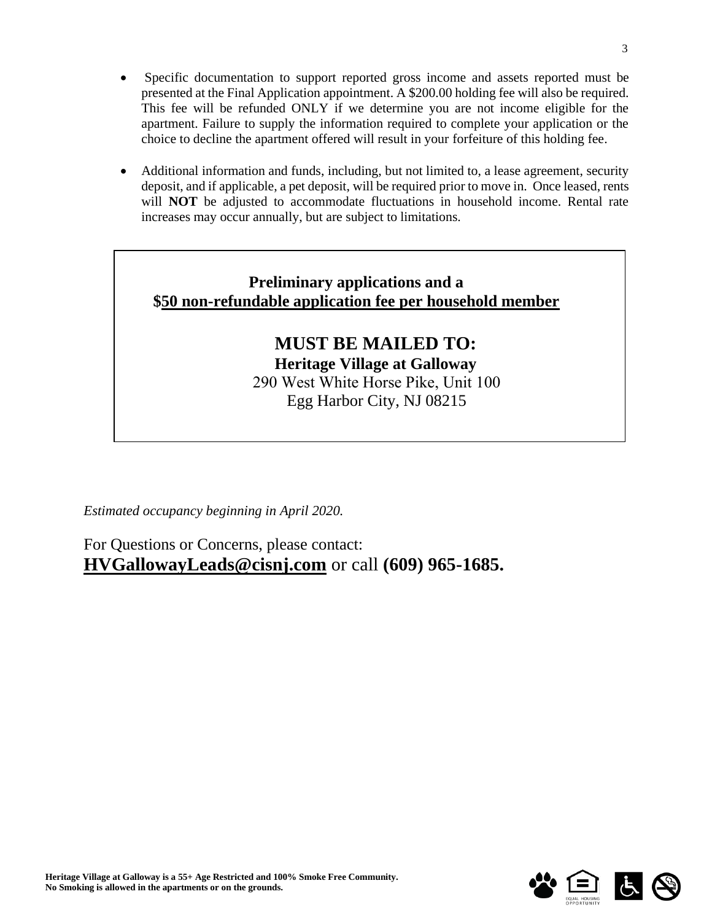- Specific documentation to support reported gross income and assets reported must be presented at the Final Application appointment. A \$200.00 holding fee will also be required. This fee will be refunded ONLY if we determine you are not income eligible for the apartment. Failure to supply the information required to complete your application or the choice to decline the apartment offered will result in your forfeiture of this holding fee.
- Additional information and funds, including, but not limited to, a lease agreement, security deposit, and if applicable, a pet deposit, will be required prior to move in. Once leased, rents will **NOT** be adjusted to accommodate fluctuations in household income. Rental rate increases may occur annually, but are subject to limitations.

# **Preliminary applications and a \$50 non-refundable application fee per household member**

# **MUST BE MAILED TO: Heritage Village at Galloway**

290 West White Horse Pike, Unit 100 Egg Harbor City, NJ 08215

*Estimated occupancy beginning in April 2020.* 

For Questions or Concerns, please contact: **[HVGallowayLeads@cisnj.com](mailto:HVGallowayLeads@cisnj.com)** or call **(609) 965-1685.**

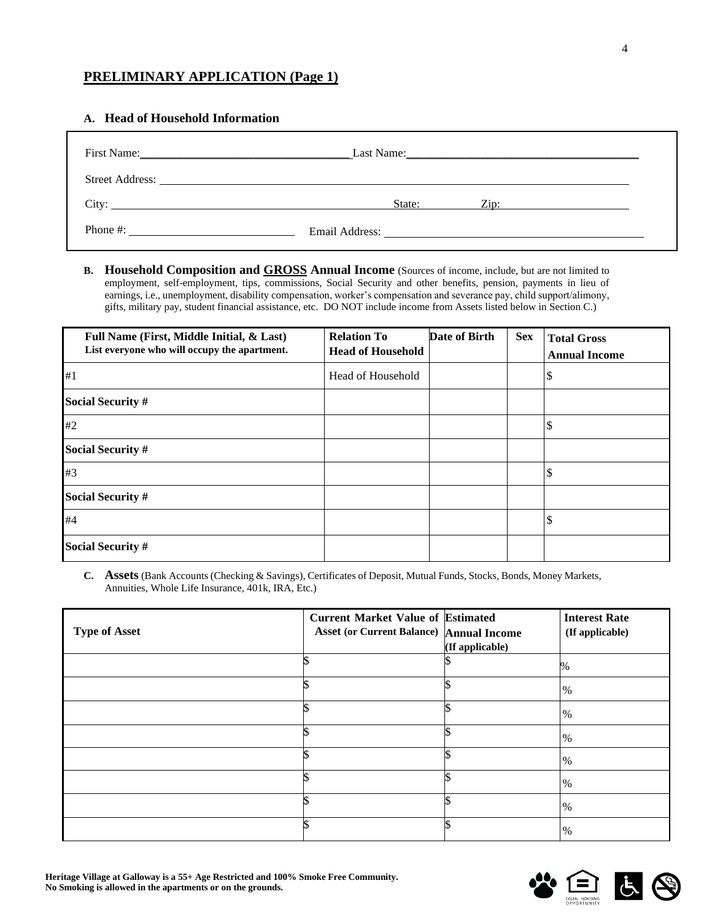## **PRELIMINARY APPLICATION (Page 1)**

**A. Head of Household Information**

# First Name:\_\_\_\_\_\_\_\_\_\_\_\_\_\_\_\_\_\_\_\_\_\_\_\_\_\_\_\_\_\_\_\_\_\_\_\_ Last Name:\_\_\_\_\_\_\_\_\_\_\_\_\_\_\_\_\_\_\_\_\_\_\_\_\_\_\_\_\_\_\_\_\_\_\_\_\_\_\_\_ Phone #: Email Address: Street Address: City: State: Zip: State: Zip:

**B. Household Composition and GROSS Annual Income** (Sources of income, include, but are not limited to employment, self-employment, tips, commissions, Social Security and other benefits, pension, payments in lieu of earnings, i.e., unemployment, disability compensation, worker's compensation and severance pay, child support/alimony, gifts, military pay, student financial assistance, etc. DO NOT include income from Assets listed below in Section C.)

| Full Name (First, Middle Initial, & Last)<br>List everyone who will occupy the apartment. | <b>Relation To</b><br><b>Head of Household</b> | Date of Birth | <b>Sex</b> | <b>Total Gross</b><br><b>Annual Income</b> |
|-------------------------------------------------------------------------------------------|------------------------------------------------|---------------|------------|--------------------------------------------|
| #1                                                                                        | Head of Household                              |               |            | S                                          |
| <b>Social Security #</b>                                                                  |                                                |               |            |                                            |
| #2                                                                                        |                                                |               |            | \$                                         |
| <b>Social Security #</b>                                                                  |                                                |               |            |                                            |
| #3                                                                                        |                                                |               |            |                                            |
| <b>Social Security #</b>                                                                  |                                                |               |            |                                            |
| #4                                                                                        |                                                |               |            | \$                                         |
| <b>Social Security #</b>                                                                  |                                                |               |            |                                            |

**C. Assets**(Bank Accounts (Checking & Savings), Certificates of Deposit, Mutual Funds, Stocks, Bonds, Money Markets, Annuities, Whole Life Insurance, 401k, IRA, Etc.)

| <b>Type of Asset</b> | <b>Current Market Value of Estimated</b><br><b>Asset (or Current Balance) Annual Income</b> | (If applicable) | <b>Interest Rate</b><br>(If applicable) |
|----------------------|---------------------------------------------------------------------------------------------|-----------------|-----------------------------------------|
|                      |                                                                                             |                 | $\%$                                    |
|                      |                                                                                             |                 | $\frac{9}{6}$                           |
|                      |                                                                                             |                 | %                                       |
|                      |                                                                                             |                 | %                                       |
|                      |                                                                                             |                 | $\%$                                    |
|                      |                                                                                             |                 | $\%$                                    |
|                      |                                                                                             |                 | $\%$                                    |
|                      |                                                                                             |                 | %                                       |



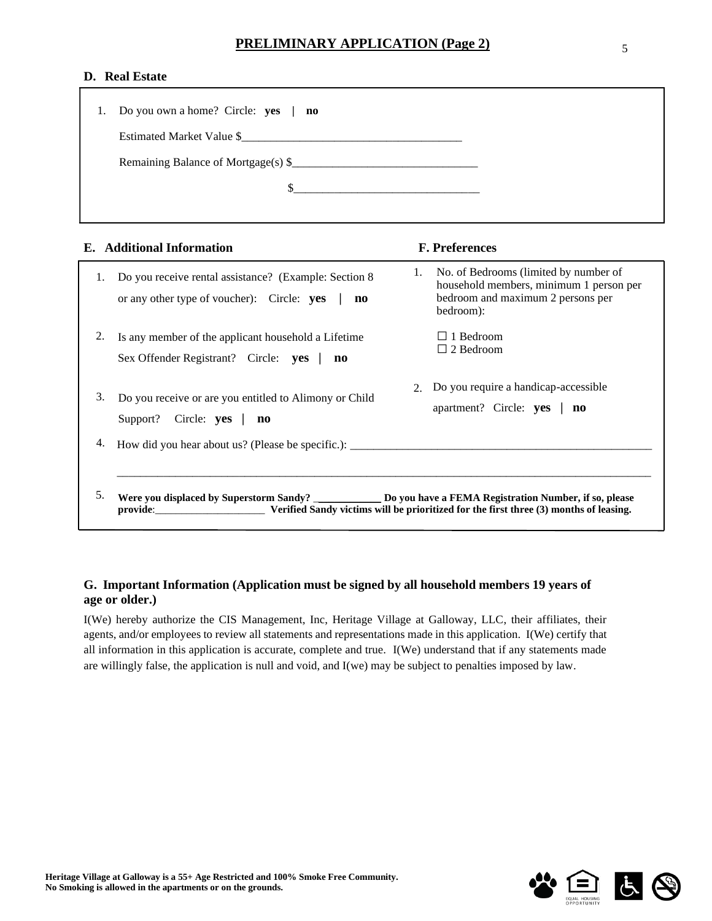#### **D. Real Estate**

| 1. Do you own a home? Circle: yes   no |
|----------------------------------------|
| Estimated Market Value \$              |
| Remaining Balance of Mortgage(s) \$    |
|                                        |
|                                        |

#### **E. Additional Information F. Preferences**

| 1. | Do you receive rental assistance? (Example: Section 8)<br>or any other type of voucher): Circle: <b>yes</b><br>no | 1. | No. of Bedrooms (limited by number of<br>household members, minimum 1 person per<br>bedroom and maximum 2 persons per<br>bedroom): |
|----|-------------------------------------------------------------------------------------------------------------------|----|------------------------------------------------------------------------------------------------------------------------------------|
| 2. | Is any member of the applicant household a Lifetime<br>Sex Offender Registrant? Circle: yes<br>$\bf{no}$          |    | $\Box$ 1 Bedroom<br>$\Box$ 2 Bedroom                                                                                               |
| 3. | Do you receive or are you entitled to Alimony or Child<br>Support? Circle: $\text{yes} \mid \text{no}$            |    | 2. Do you require a handicap-accessible<br>apartment? Circle: $ves \mid no$                                                        |
| 4. | How did you hear about us? (Please be specific.):                                                                 |    |                                                                                                                                    |
| 5. | provide:<br><b>EXECUTE:</b> Verified Sandy victims will be prioritized for the first three (3) months of leasing. |    |                                                                                                                                    |

 $\mathcal{L}_\mathcal{L} = \mathcal{L}_\mathcal{L} = \mathcal{L}_\mathcal{L} = \mathcal{L}_\mathcal{L} = \mathcal{L}_\mathcal{L} = \mathcal{L}_\mathcal{L} = \mathcal{L}_\mathcal{L} = \mathcal{L}_\mathcal{L} = \mathcal{L}_\mathcal{L} = \mathcal{L}_\mathcal{L} = \mathcal{L}_\mathcal{L} = \mathcal{L}_\mathcal{L} = \mathcal{L}_\mathcal{L} = \mathcal{L}_\mathcal{L} = \mathcal{L}_\mathcal{L} = \mathcal{L}_\mathcal{L} = \mathcal{L}_\mathcal{L}$ 

### **G. Important Information (Application must be signed by all household members 19 years of age or older.)**

I(We) hereby authorize the CIS Management, Inc, Heritage Village at Galloway, LLC, their affiliates, their agents, and/or employees to review all statements and representations made in this application. I(We) certify that all information in this application is accurate, complete and true. I(We) understand that if any statements made are willingly false, the application is null and void, and I(we) may be subject to penalties imposed by law.

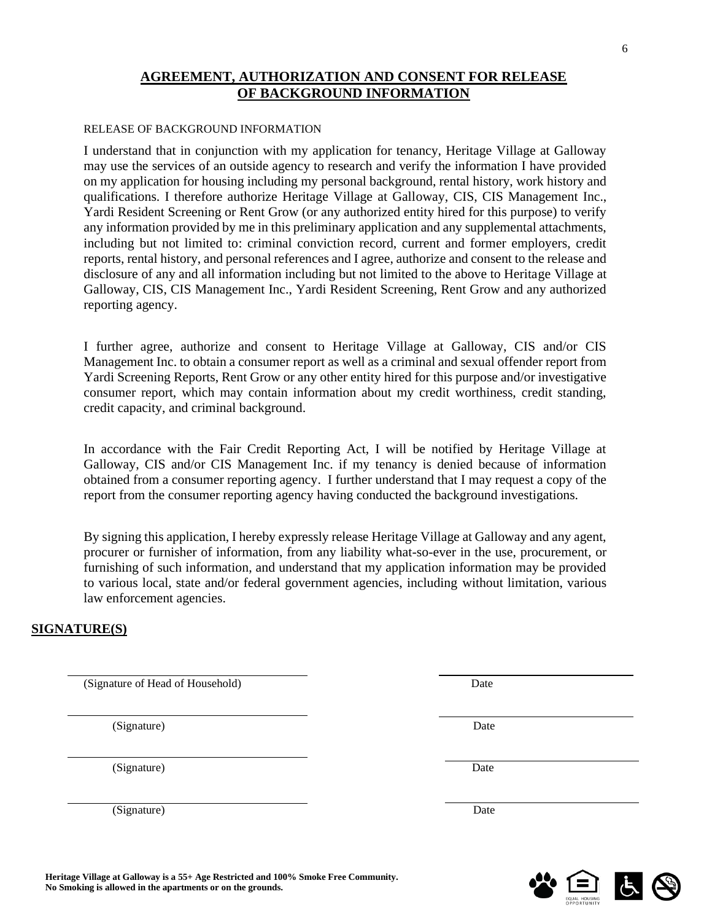## **AGREEMENT, AUTHORIZATION AND CONSENT FOR RELEASE OF BACKGROUND INFORMATION**

#### RELEASE OF BACKGROUND INFORMATION

I understand that in conjunction with my application for tenancy, Heritage Village at Galloway may use the services of an outside agency to research and verify the information I have provided on my application for housing including my personal background, rental history, work history and qualifications. I therefore authorize Heritage Village at Galloway, CIS, CIS Management Inc., Yardi Resident Screening or Rent Grow (or any authorized entity hired for this purpose) to verify any information provided by me in this preliminary application and any supplemental attachments, including but not limited to: criminal conviction record, current and former employers, credit reports, rental history, and personal references and I agree, authorize and consent to the release and disclosure of any and all information including but not limited to the above to Heritage Village at Galloway, CIS, CIS Management Inc., Yardi Resident Screening, Rent Grow and any authorized reporting agency.

I further agree, authorize and consent to Heritage Village at Galloway, CIS and/or CIS Management Inc. to obtain a consumer report as well as a criminal and sexual offender report from Yardi Screening Reports, Rent Grow or any other entity hired for this purpose and/or investigative consumer report, which may contain information about my credit worthiness, credit standing, credit capacity, and criminal background.

In accordance with the Fair Credit Reporting Act, I will be notified by Heritage Village at Galloway, CIS and/or CIS Management Inc. if my tenancy is denied because of information obtained from a consumer reporting agency. I further understand that I may request a copy of the report from the consumer reporting agency having conducted the background investigations.

By signing this application, I hereby expressly release Heritage Village at Galloway and any agent, procurer or furnisher of information, from any liability what-so-ever in the use, procurement, or furnishing of such information, and understand that my application information may be provided to various local, state and/or federal government agencies, including without limitation, various law enforcement agencies.

#### **SIGNATURE(S)**

| (Signature of Head of Household) | Date |
|----------------------------------|------|
|                                  |      |

(Signature) Date

(Signature) Date

(Signature) Date

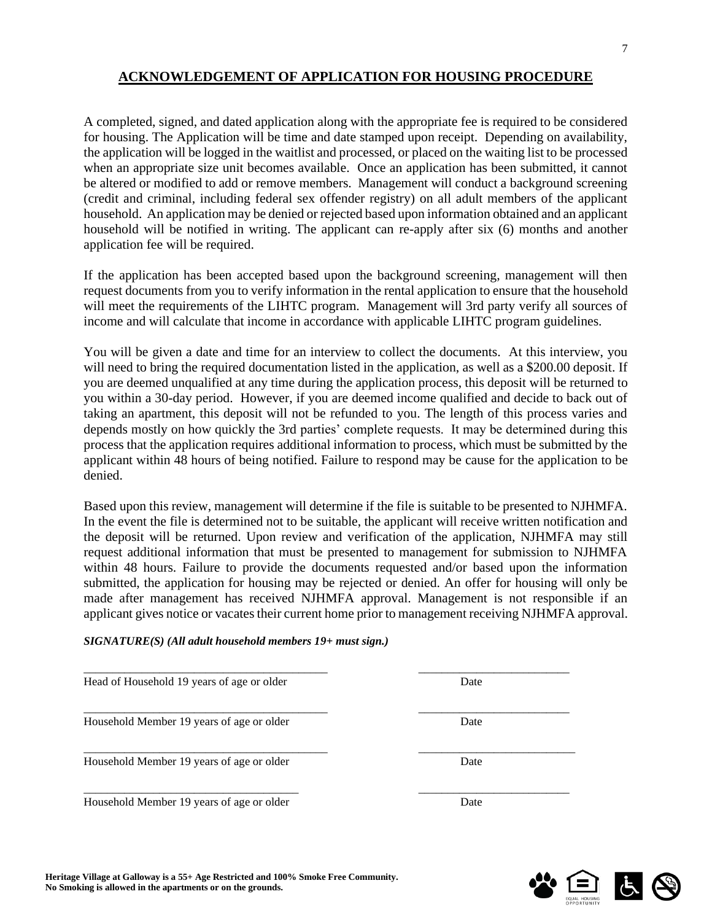## **ACKNOWLEDGEMENT OF APPLICATION FOR HOUSING PROCEDURE**

A completed, signed, and dated application along with the appropriate fee is required to be considered for housing. The Application will be time and date stamped upon receipt. Depending on availability, the application will be logged in the waitlist and processed, or placed on the waiting list to be processed when an appropriate size unit becomes available. Once an application has been submitted, it cannot be altered or modified to add or remove members. Management will conduct a background screening (credit and criminal, including federal sex offender registry) on all adult members of the applicant household. An application may be denied or rejected based upon information obtained and an applicant household will be notified in writing. The applicant can re-apply after six (6) months and another application fee will be required.

If the application has been accepted based upon the background screening, management will then request documents from you to verify information in the rental application to ensure that the household will meet the requirements of the LIHTC program. Management will 3rd party verify all sources of income and will calculate that income in accordance with applicable LIHTC program guidelines.

You will be given a date and time for an interview to collect the documents. At this interview, you will need to bring the required documentation listed in the application, as well as a \$200.00 deposit. If you are deemed unqualified at any time during the application process, this deposit will be returned to you within a 30-day period. However, if you are deemed income qualified and decide to back out of taking an apartment, this deposit will not be refunded to you. The length of this process varies and depends mostly on how quickly the 3rd parties' complete requests. It may be determined during this process that the application requires additional information to process, which must be submitted by the applicant within 48 hours of being notified. Failure to respond may be cause for the application to be denied.

Based upon this review, management will determine if the file is suitable to be presented to NJHMFA. In the event the file is determined not to be suitable, the applicant will receive written notification and the deposit will be returned. Upon review and verification of the application, NJHMFA may still request additional information that must be presented to management for submission to NJHMFA within 48 hours. Failure to provide the documents requested and/or based upon the information submitted, the application for housing may be rejected or denied. An offer for housing will only be made after management has received NJHMFA approval. Management is not responsible if an applicant gives notice or vacates their current home prior to management receiving NJHMFA approval.

| SIGNATURE(S) (All adult household members 19+ must sign.) |  |  |
|-----------------------------------------------------------|--|--|
|-----------------------------------------------------------|--|--|

| Head of Household 19 years of age or older | Date |
|--------------------------------------------|------|
| Household Member 19 years of age or older  | Date |
| Household Member 19 years of age or older  | Date |
| Household Member 19 years of age or older  | Date |